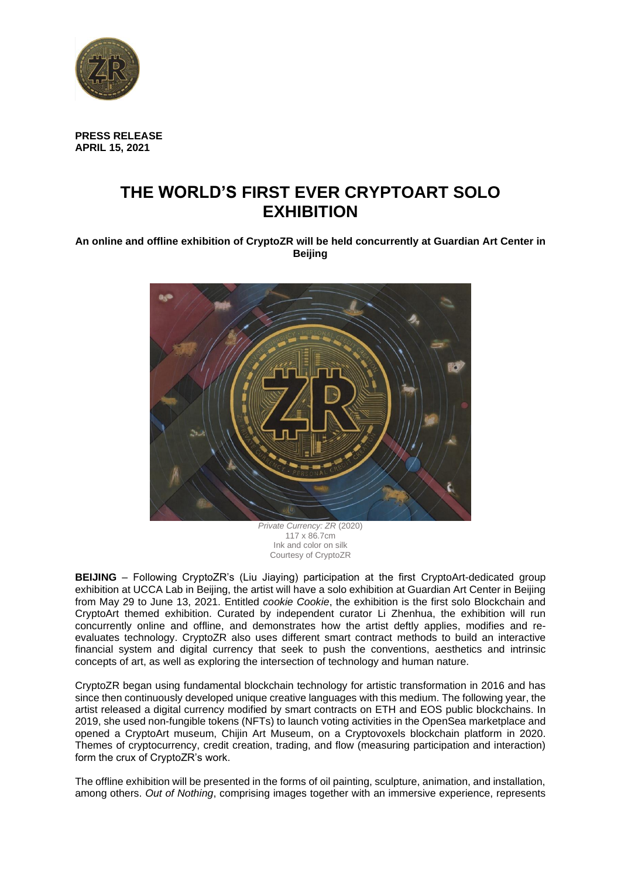

**PRESS RELEASE APRIL 15, 2021**

# **THE WORLD'S FIRST EVER CRYPTOART SOLO EXHIBITION**

**An online and offline exhibition of CryptoZR will be held concurrently at Guardian Art Center in Beijing**



*Private Currency: ZR* (2020) 117 x 86.7cm Ink and color on silk Courtesy of CryptoZR

**BEIJING** – Following CryptoZR's (Liu Jiaying) participation at the first CryptoArt-dedicated group exhibition at UCCA Lab in Beijing, the artist will have a solo exhibition at Guardian Art Center in Beijing from May 29 to June 13, 2021. Entitled *cookie Cookie*, the exhibition is the first solo Blockchain and CryptoArt themed exhibition. Curated by independent curator Li Zhenhua, the exhibition will run concurrently online and offline, and demonstrates how the artist deftly applies, modifies and reevaluates technology. CryptoZR also uses different smart contract methods to build an interactive financial system and digital currency that seek to push the conventions, aesthetics and intrinsic concepts of art, as well as exploring the intersection of technology and human nature.

CryptoZR began using fundamental blockchain technology for artistic transformation in 2016 and has since then continuously developed unique creative languages with this medium. The following year, the artist released a digital currency modified by smart contracts on ETH and EOS public blockchains. In 2019, she used non-fungible tokens (NFTs) to launch voting activities in the OpenSea marketplace and opened a CryptoArt museum, Chijin Art Museum, on a Cryptovoxels blockchain platform in 2020. Themes of cryptocurrency, credit creation, trading, and flow (measuring participation and interaction) form the crux of CryptoZR's work.

The offline exhibition will be presented in the forms of oil painting, sculpture, animation, and installation, among others. *Out of Nothing*, comprising images together with an immersive experience, represents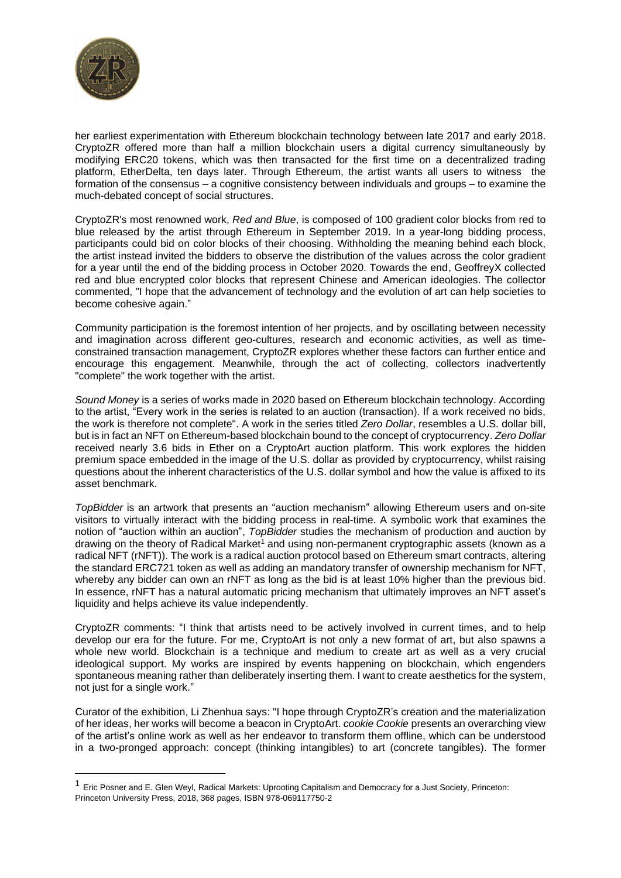

her earliest experimentation with Ethereum blockchain technology between late 2017 and early 2018. CryptoZR offered more than half a million blockchain users a digital currency simultaneously by modifying ERC20 tokens, which was then transacted for the first time on a decentralized trading platform, EtherDelta, ten days later. Through Ethereum, the artist wants all users to witness the formation of the consensus – a cognitive consistency between individuals and groups – to examine the much-debated concept of social structures.

CryptoZR's most renowned work, *Red and Blue*, is composed of 100 gradient color blocks from red to blue released by the artist through Ethereum in September 2019. In a year-long bidding process, participants could bid on color blocks of their choosing. Withholding the meaning behind each block, the artist instead invited the bidders to observe the distribution of the values across the color gradient for a year until the end of the bidding process in October 2020. Towards the end, GeoffreyX collected red and blue encrypted color blocks that represent Chinese and American ideologies. The collector commented, "I hope that the advancement of technology and the evolution of art can help societies to become cohesive again."

Community participation is the foremost intention of her projects, and by oscillating between necessity and imagination across different geo-cultures, research and economic activities, as well as timeconstrained transaction management, CryptoZR explores whether these factors can further entice and encourage this engagement. Meanwhile, through the act of collecting, collectors inadvertently "complete" the work together with the artist.

*Sound Money* is a series of works made in 2020 based on Ethereum blockchain technology. According to the artist, "Every work in the series is related to an auction (transaction). If a work received no bids, the work is therefore not complete". A work in the series titled *Zero Dollar*, resembles a U.S. dollar bill, but is in fact an NFT on Ethereum-based blockchain bound to the concept of cryptocurrency. *Zero Dollar* received nearly 3.6 bids in Ether on a CryptoArt auction platform. This work explores the hidden premium space embedded in the image of the U.S. dollar as provided by cryptocurrency, whilst raising questions about the inherent characteristics of the U.S. dollar symbol and how the value is affixed to its asset benchmark.

*TopBidder* is an artwork that presents an "auction mechanism" allowing Ethereum users and on-site visitors to virtually interact with the bidding process in real-time. A symbolic work that examines the notion of "auction within an auction", *TopBidder* studies the mechanism of production and auction by drawing on the theory of Radical Market<sup>1</sup> and using non-permanent cryptographic assets (known as a radical NFT (rNFT)). The work is a radical auction protocol based on Ethereum smart contracts, altering the standard ERC721 token as well as adding an mandatory transfer of ownership mechanism for NFT, whereby any bidder can own an rNFT as long as the bid is at least 10% higher than the previous bid. In essence, rNFT has a natural automatic pricing mechanism that ultimately improves an NFT asset's liquidity and helps achieve its value independently.

CryptoZR comments: "I think that artists need to be actively involved in current times, and to help develop our era for the future. For me, CryptoArt is not only a new format of art, but also spawns a whole new world. Blockchain is a technique and medium to create art as well as a very crucial ideological support. My works are inspired by events happening on blockchain, which engenders spontaneous meaning rather than deliberately inserting them. I want to create aesthetics for the system, not just for a single work."

Curator of the exhibition, Li Zhenhua says: "I hope through CryptoZR's creation and the materialization of her ideas, her works will become a beacon in CryptoArt. *cookie Cookie* presents an overarching view of the artist's online work as well as her endeavor to transform them offline, which can be understood in a two-pronged approach: concept (thinking intangibles) to art (concrete tangibles). The former

<sup>1</sup> Eric Posner and E. Glen Weyl, Radical Markets: Uprooting Capitalism and Democracy for a Just Society, Princeton: Princeton University Press, 2018, 368 pages, ISBN 978-069117750-2